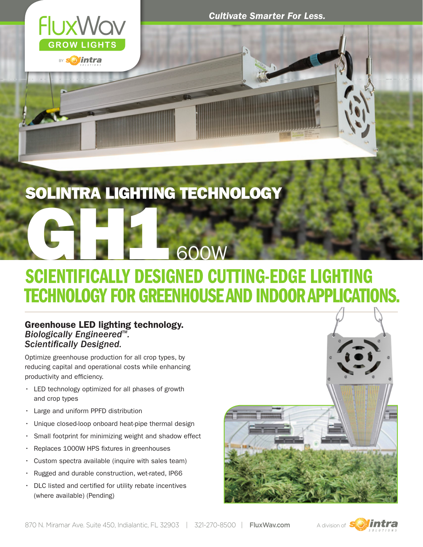

*Cultivate Smarter For Less.*

### SOLINTRA LIGHTING TECHNOLOGY

# SCIENTIFICALLY DESIGNED CUTTING-EDGE LIGHTING TECHNOLOGY FOR GREENHOUSE AND INDOOR APPLICATIONS. GHNTIFIQUE DE COOW

### Greenhouse LED lighting technology.<br>Biologically Engineered™.  $Scientifically$  *Designed.*

Optimize greenhouse production for all crop types, by reducing capital and operational costs while enhancing productivity and efficiency.

- • LED technology optimized for all phases of growth and crop types
- • Large and uniform PPFD distribution
- Unique closed-loop onboard heat-pipe thermal design
- Small footprint for minimizing weight and shadow effect
- Replaces 1000W HPS fixtures in greenhouses
- $\cdot$  Custom spectra available (inquire with sales team)
- Rugged and durable construction, wet-rated, IP66
- DLC listed and certified for utility rebate incentives (where available) (Pending)